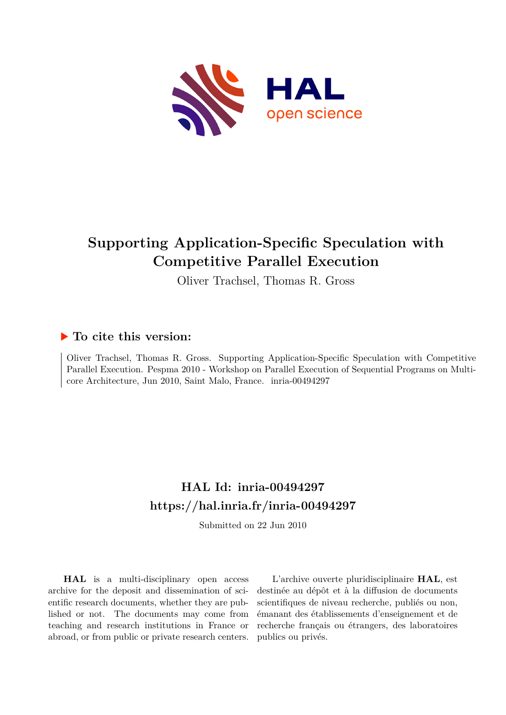

# **Supporting Application-Specific Speculation with Competitive Parallel Execution**

Oliver Trachsel, Thomas R. Gross

# **To cite this version:**

Oliver Trachsel, Thomas R. Gross. Supporting Application-Specific Speculation with Competitive Parallel Execution. Pespma 2010 - Workshop on Parallel Execution of Sequential Programs on Multicore Architecture, Jun 2010, Saint Malo, France. inria-00494297

# **HAL Id: inria-00494297 <https://hal.inria.fr/inria-00494297>**

Submitted on 22 Jun 2010

**HAL** is a multi-disciplinary open access archive for the deposit and dissemination of scientific research documents, whether they are published or not. The documents may come from teaching and research institutions in France or abroad, or from public or private research centers.

L'archive ouverte pluridisciplinaire **HAL**, est destinée au dépôt et à la diffusion de documents scientifiques de niveau recherche, publiés ou non, émanant des établissements d'enseignement et de recherche français ou étrangers, des laboratoires publics ou privés.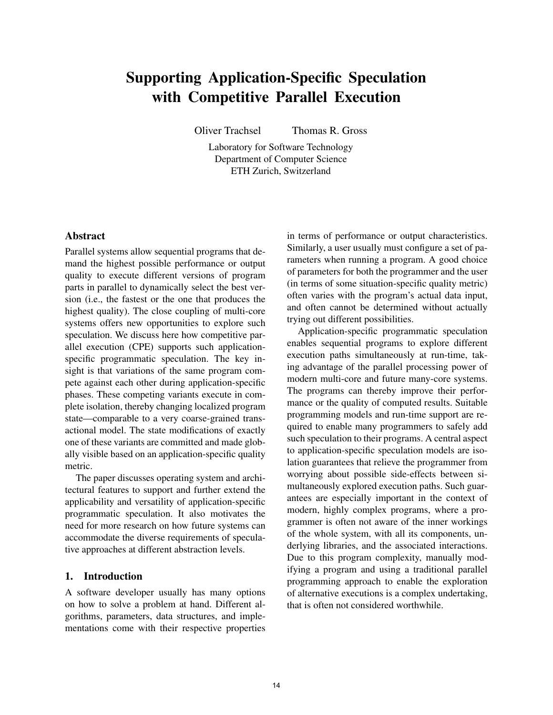# Supporting Application-Specific Speculation with Competitive Parallel Execution

Oliver Trachsel Thomas R. Gross

Laboratory for Software Technology Department of Computer Science ETH Zurich, Switzerland

#### Abstract

Parallel systems allow sequential programs that demand the highest possible performance or output quality to execute different versions of program parts in parallel to dynamically select the best version (i.e., the fastest or the one that produces the highest quality). The close coupling of multi-core systems offers new opportunities to explore such speculation. We discuss here how competitive parallel execution (CPE) supports such applicationspecific programmatic speculation. The key insight is that variations of the same program compete against each other during application-specific phases. These competing variants execute in complete isolation, thereby changing localized program state—comparable to a very coarse-grained transactional model. The state modifications of exactly one of these variants are committed and made globally visible based on an application-specific quality metric.

The paper discusses operating system and architectural features to support and further extend the applicability and versatility of application-specific programmatic speculation. It also motivates the need for more research on how future systems can accommodate the diverse requirements of speculative approaches at different abstraction levels.

### 1. Introduction

A software developer usually has many options on how to solve a problem at hand. Different algorithms, parameters, data structures, and implementations come with their respective properties

in terms of performance or output characteristics. Similarly, a user usually must configure a set of parameters when running a program. A good choice of parameters for both the programmer and the user (in terms of some situation-specific quality metric) often varies with the program's actual data input, and often cannot be determined without actually trying out different possibilities.

Application-specific programmatic speculation enables sequential programs to explore different execution paths simultaneously at run-time, taking advantage of the parallel processing power of modern multi-core and future many-core systems. The programs can thereby improve their performance or the quality of computed results. Suitable programming models and run-time support are required to enable many programmers to safely add such speculation to their programs. A central aspect to application-specific speculation models are isolation guarantees that relieve the programmer from worrying about possible side-effects between simultaneously explored execution paths. Such guarantees are especially important in the context of modern, highly complex programs, where a programmer is often not aware of the inner workings of the whole system, with all its components, underlying libraries, and the associated interactions. Due to this program complexity, manually modifying a program and using a traditional parallel programming approach to enable the exploration of alternative executions is a complex undertaking, that is often not considered worthwhile.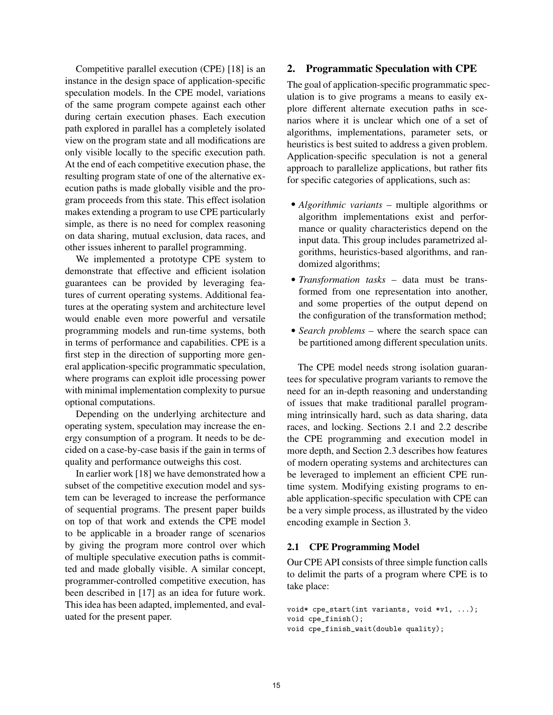Competitive parallel execution (CPE) [18] is an instance in the design space of application-specific speculation models. In the CPE model, variations of the same program compete against each other during certain execution phases. Each execution path explored in parallel has a completely isolated view on the program state and all modifications are only visible locally to the specific execution path. At the end of each competitive execution phase, the resulting program state of one of the alternative execution paths is made globally visible and the program proceeds from this state. This effect isolation makes extending a program to use CPE particularly simple, as there is no need for complex reasoning on data sharing, mutual exclusion, data races, and other issues inherent to parallel programming.

We implemented a prototype CPE system to demonstrate that effective and efficient isolation guarantees can be provided by leveraging features of current operating systems. Additional features at the operating system and architecture level would enable even more powerful and versatile programming models and run-time systems, both in terms of performance and capabilities. CPE is a first step in the direction of supporting more general application-specific programmatic speculation, where programs can exploit idle processing power with minimal implementation complexity to pursue optional computations.

Depending on the underlying architecture and operating system, speculation may increase the energy consumption of a program. It needs to be decided on a case-by-case basis if the gain in terms of quality and performance outweighs this cost.

In earlier work [18] we have demonstrated how a subset of the competitive execution model and system can be leveraged to increase the performance of sequential programs. The present paper builds on top of that work and extends the CPE model to be applicable in a broader range of scenarios by giving the program more control over which of multiple speculative execution paths is committed and made globally visible. A similar concept, programmer-controlled competitive execution, has been described in [17] as an idea for future work. This idea has been adapted, implemented, and evaluated for the present paper.

# 2. Programmatic Speculation with CPE

The goal of application-specific programmatic speculation is to give programs a means to easily explore different alternate execution paths in scenarios where it is unclear which one of a set of algorithms, implementations, parameter sets, or heuristics is best suited to address a given problem. Application-specific speculation is not a general approach to parallelize applications, but rather fits for specific categories of applications, such as:

- *Algorithmic variants* multiple algorithms or algorithm implementations exist and performance or quality characteristics depend on the input data. This group includes parametrized algorithms, heuristics-based algorithms, and randomized algorithms;
- *Transformation tasks* data must be transformed from one representation into another, and some properties of the output depend on the configuration of the transformation method;
- *Search problems* where the search space can be partitioned among different speculation units.

The CPE model needs strong isolation guarantees for speculative program variants to remove the need for an in-depth reasoning and understanding of issues that make traditional parallel programming intrinsically hard, such as data sharing, data races, and locking. Sections 2.1 and 2.2 describe the CPE programming and execution model in more depth, and Section 2.3 describes how features of modern operating systems and architectures can be leveraged to implement an efficient CPE runtime system. Modifying existing programs to enable application-specific speculation with CPE can be a very simple process, as illustrated by the video encoding example in Section 3.

### 2.1 CPE Programming Model

Our CPE API consists of three simple function calls to delimit the parts of a program where CPE is to take place:

```
void* cpe_start(int variants, void *v1, ...);
void cpe_finish();
void cpe_finish_wait(double quality);
```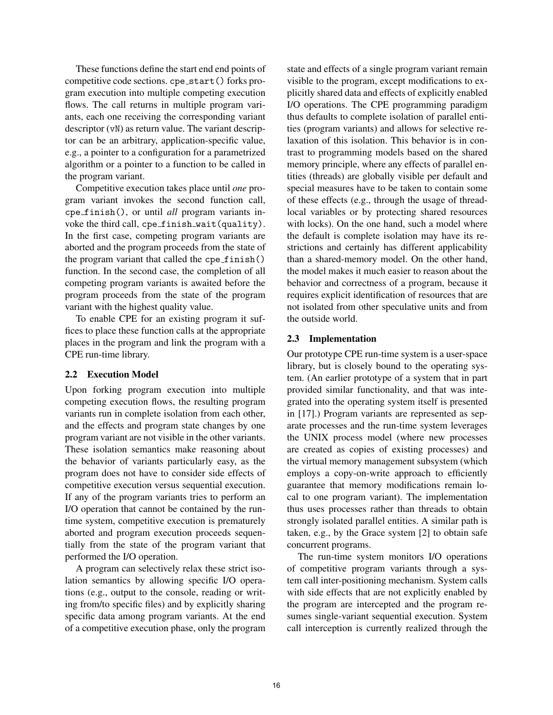These functions define the start end end points of competitive code sections. cpe\_start() forks program execution into multiple competing execution flows. The call returns in multiple program variants, each one receiving the corresponding variant descriptor (vN) as return value. The variant descriptor can be an arbitrary, application-specific value, e.g., a pointer to a configuration for a parametrized algorithm or a pointer to a function to be called in the program variant.

Competitive execution takes place until *one* program variant invokes the second function call, cpe finish(), or until *all* program variants invoke the third call, cpe finish wait(quality). In the first case, competing program variants are aborted and the program proceeds from the state of the program variant that called the  $cpe\_finish()$ function. In the second case, the completion of all competing program variants is awaited before the program proceeds from the state of the program variant with the highest quality value.

To enable CPE for an existing program it suffices to place these function calls at the appropriate places in the program and link the program with a CPE run-time library.

# 2.2 Execution Model

Upon forking program execution into multiple competing execution flows, the resulting program variants run in complete isolation from each other, and the effects and program state changes by one program variant are not visible in the other variants. These isolation semantics make reasoning about the behavior of variants particularly easy, as the program does not have to consider side effects of competitive execution versus sequential execution. If any of the program variants tries to perform an I/O operation that cannot be contained by the runtime system, competitive execution is prematurely aborted and program execution proceeds sequentially from the state of the program variant that performed the I/O operation.

A program can selectively relax these strict isolation semantics by allowing specific I/O operations (e.g., output to the console, reading or writing from/to specific files) and by explicitly sharing specific data among program variants. At the end of a competitive execution phase, only the program state and effects of a single program variant remain visible to the program, except modifications to explicitly shared data and effects of explicitly enabled I/O operations. The CPE programming paradigm thus defaults to complete isolation of parallel entities (program variants) and allows for selective relaxation of this isolation. This behavior is in contrast to programming models based on the shared memory principle, where any effects of parallel entities (threads) are globally visible per default and special measures have to be taken to contain some of these effects (e.g., through the usage of threadlocal variables or by protecting shared resources with locks). On the one hand, such a model where the default is complete isolation may have its restrictions and certainly has different applicability than a shared-memory model. On the other hand, the model makes it much easier to reason about the behavior and correctness of a program, because it requires explicit identification of resources that are not isolated from other speculative units and from the outside world.

### 2.3 Implementation

Our prototype CPE run-time system is a user-space library, but is closely bound to the operating system. (An earlier prototype of a system that in part provided similar functionality, and that was integrated into the operating system itself is presented in [17].) Program variants are represented as separate processes and the run-time system leverages the UNIX process model (where new processes are created as copies of existing processes) and the virtual memory management subsystem (which employs a copy-on-write approach to efficiently guarantee that memory modifications remain local to one program variant). The implementation thus uses processes rather than threads to obtain strongly isolated parallel entities. A similar path is taken, e.g., by the Grace system [2] to obtain safe concurrent programs.

The run-time system monitors I/O operations of competitive program variants through a system call inter-positioning mechanism. System calls with side effects that are not explicitly enabled by the program are intercepted and the program resumes single-variant sequential execution. System call interception is currently realized through the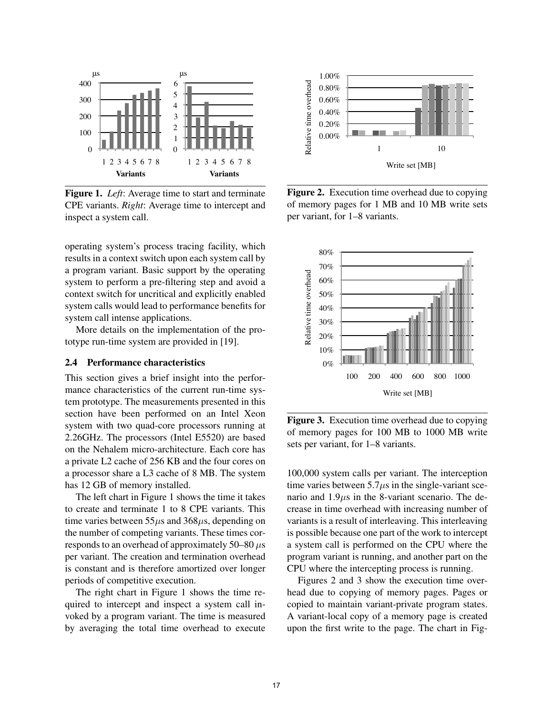

Figure 1. *Left*: Average time to start and terminate CPE variants. *Right*: Average time to intercept and inspect a system call.

operating system's process tracing facility, which results in a context switch upon each system call by a program variant. Basic support by the operating system to perform a pre-filtering step and avoid a context switch for uncritical and explicitly enabled system calls would lead to performance benefits for system call intense applications.

More details on the implementation of the prototype run-time system are provided in [19].

#### 2.4 Performance characteristics

This section gives a brief insight into the performance characteristics of the current run-time system prototype. The measurements presented in this section have been performed on an Intel Xeon system with two quad-core processors running at 2.26GHz. The processors (Intel E5520) are based on the Nehalem micro-architecture. Each core has a private L2 cache of 256 KB and the four cores on a processor share a L3 cache of 8 MB. The system has 12 GB of memory installed.

The left chart in Figure 1 shows the time it takes to create and terminate 1 to 8 CPE variants. This time varies between  $55\mu s$  and  $368\mu s$ , depending on the number of competing variants. These times corresponds to an overhead of approximately 50–80  $\mu$ s per variant. The creation and termination overhead is constant and is therefore amortized over longer periods of competitive execution.

The right chart in Figure 1 shows the time required to intercept and inspect a system call invoked by a program variant. The time is measured by averaging the total time overhead to execute



Figure 2. Execution time overhead due to copying of memory pages for 1 MB and 10 MB write sets per variant, for 1–8 variants.



Figure 3. Execution time overhead due to copying of memory pages for 100 MB to 1000 MB write sets per variant, for 1–8 variants.

100,000 system calls per variant. The interception time varies between  $5.7\mu s$  in the single-variant scenario and  $1.9\mu s$  in the 8-variant scenario. The decrease in time overhead with increasing number of variants is a result of interleaving. This interleaving is possible because one part of the work to intercept a system call is performed on the CPU where the program variant is running, and another part on the CPU where the intercepting process is running.

Figures 2 and 3 show the execution time overhead due to copying of memory pages. Pages or copied to maintain variant-private program states. A variant-local copy of a memory page is created upon the first write to the page. The chart in Fig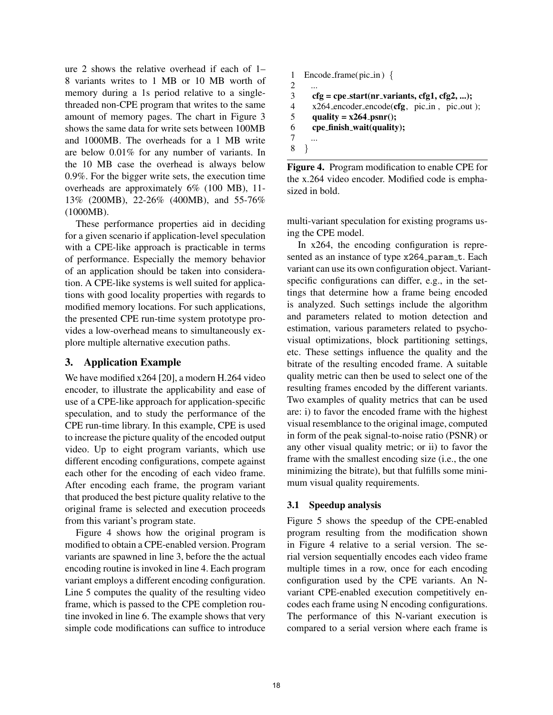ure 2 shows the relative overhead if each of 1– 8 variants writes to 1 MB or 10 MB worth of memory during a 1s period relative to a singlethreaded non-CPE program that writes to the same amount of memory pages. The chart in Figure 3 shows the same data for write sets between 100MB and 1000MB. The overheads for a 1 MB write are below 0.01% for any number of variants. In the 10 MB case the overhead is always below 0.9%. For the bigger write sets, the execution time overheads are approximately 6% (100 MB), 11- 13% (200MB), 22-26% (400MB), and 55-76% (1000MB).

These performance properties aid in deciding for a given scenario if application-level speculation with a CPE-like approach is practicable in terms of performance. Especially the memory behavior of an application should be taken into consideration. A CPE-like systems is well suited for applications with good locality properties with regards to modified memory locations. For such applications, the presented CPE run-time system prototype provides a low-overhead means to simultaneously explore multiple alternative execution paths.

# 3. Application Example

We have modified x264 [20], a modern H.264 video encoder, to illustrate the applicability and ease of use of a CPE-like approach for application-specific speculation, and to study the performance of the CPE run-time library. In this example, CPE is used to increase the picture quality of the encoded output video. Up to eight program variants, which use different encoding configurations, compete against each other for the encoding of each video frame. After encoding each frame, the program variant that produced the best picture quality relative to the original frame is selected and execution proceeds from this variant's program state.

Figure 4 shows how the original program is modified to obtain a CPE-enabled version. Program variants are spawned in line 3, before the the actual encoding routine is invoked in line 4. Each program variant employs a different encoding configuration. Line 5 computes the quality of the resulting video frame, which is passed to the CPE completion routine invoked in line 6. The example shows that very simple code modifications can suffice to introduce

```
1 Encode frame(pic in ) {
2 ...
3 cfg = cpe_start(nr_variants, cfg1, cfg2, ...);<br>4 x264 encoder encode(cfg. pic_in, pic_out)
4 x264 encoder encode(cfg, pic in, pic out);<br>
quality = x264-psnr();
5 quality = x264-psnr();<br>6 cpe_finish_wait(quality
        cpe_finish_wait(quality);
7<br>8
     8 }
```
Figure 4. Program modification to enable CPE for the x.264 video encoder. Modified code is emphasized in bold.

multi-variant speculation for existing programs using the CPE model.

In x264, the encoding configuration is represented as an instance of type x264\_param\_t. Each variant can use its own configuration object. Variantspecific configurations can differ, e.g., in the settings that determine how a frame being encoded is analyzed. Such settings include the algorithm and parameters related to motion detection and estimation, various parameters related to psychovisual optimizations, block partitioning settings, etc. These settings influence the quality and the bitrate of the resulting encoded frame. A suitable quality metric can then be used to select one of the resulting frames encoded by the different variants. Two examples of quality metrics that can be used are: i) to favor the encoded frame with the highest visual resemblance to the original image, computed in form of the peak signal-to-noise ratio (PSNR) or any other visual quality metric; or ii) to favor the frame with the smallest encoding size (i.e., the one minimizing the bitrate), but that fulfills some minimum visual quality requirements.

# 3.1 Speedup analysis

Figure 5 shows the speedup of the CPE-enabled program resulting from the modification shown in Figure 4 relative to a serial version. The serial version sequentially encodes each video frame multiple times in a row, once for each encoding configuration used by the CPE variants. An Nvariant CPE-enabled execution competitively encodes each frame using N encoding configurations. The performance of this N-variant execution is compared to a serial version where each frame is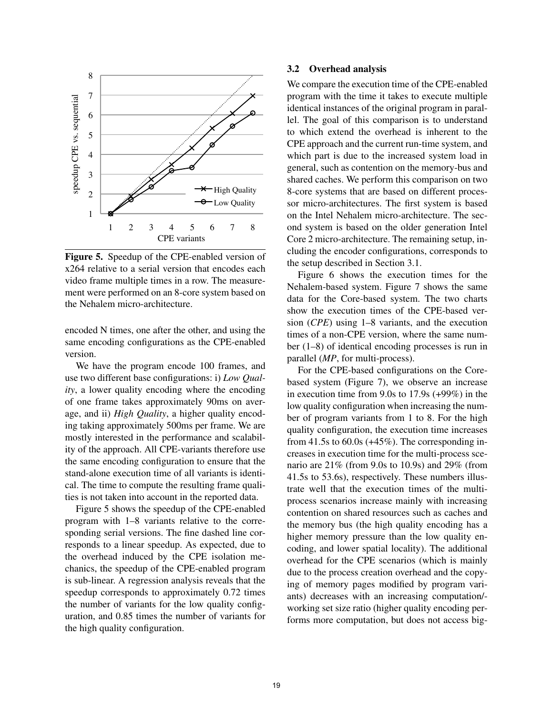

Figure 5. Speedup of the CPE-enabled version of x264 relative to a serial version that encodes each video frame multiple times in a row. The measurement were performed on an 8-core system based on the Nehalem micro-architecture.

encoded N times, one after the other, and using the same encoding configurations as the CPE-enabled version.

We have the program encode 100 frames, and use two different base configurations: i) *Low Quality*, a lower quality encoding where the encoding of one frame takes approximately 90ms on average, and ii) *High Quality*, a higher quality encoding taking approximately 500ms per frame. We are mostly interested in the performance and scalability of the approach. All CPE-variants therefore use the same encoding configuration to ensure that the stand-alone execution time of all variants is identical. The time to compute the resulting frame qualities is not taken into account in the reported data.

Figure 5 shows the speedup of the CPE-enabled program with 1–8 variants relative to the corresponding serial versions. The fine dashed line corresponds to a linear speedup. As expected, due to the overhead induced by the CPE isolation mechanics, the speedup of the CPE-enabled program is sub-linear. A regression analysis reveals that the speedup corresponds to approximately 0.72 times the number of variants for the low quality configuration, and 0.85 times the number of variants for the high quality configuration.

#### 3.2 Overhead analysis

We compare the execution time of the CPE-enabled program with the time it takes to execute multiple identical instances of the original program in parallel. The goal of this comparison is to understand to which extend the overhead is inherent to the CPE approach and the current run-time system, and which part is due to the increased system load in general, such as contention on the memory-bus and shared caches. We perform this comparison on two 8-core systems that are based on different processor micro-architectures. The first system is based on the Intel Nehalem micro-architecture. The second system is based on the older generation Intel Core 2 micro-architecture. The remaining setup, including the encoder configurations, corresponds to the setup described in Section 3.1.

Figure 6 shows the execution times for the Nehalem-based system. Figure 7 shows the same data for the Core-based system. The two charts show the execution times of the CPE-based version (*CPE*) using 1–8 variants, and the execution times of a non-CPE version, where the same number (1–8) of identical encoding processes is run in parallel (*MP*, for multi-process).

For the CPE-based configurations on the Corebased system (Figure 7), we observe an increase in execution time from 9.0s to 17.9s (+99%) in the low quality configuration when increasing the number of program variants from 1 to 8. For the high quality configuration, the execution time increases from 41.5s to  $60.0s$  (+45%). The corresponding increases in execution time for the multi-process scenario are 21% (from 9.0s to 10.9s) and 29% (from 41.5s to 53.6s), respectively. These numbers illustrate well that the execution times of the multiprocess scenarios increase mainly with increasing contention on shared resources such as caches and the memory bus (the high quality encoding has a higher memory pressure than the low quality encoding, and lower spatial locality). The additional overhead for the CPE scenarios (which is mainly due to the process creation overhead and the copying of memory pages modified by program variants) decreases with an increasing computation/ working set size ratio (higher quality encoding performs more computation, but does not access big-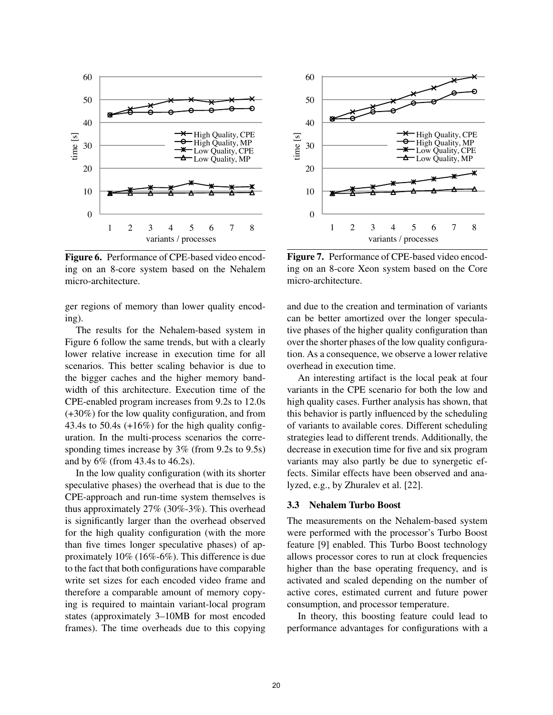

Figure 6. Performance of CPE-based video encoding on an 8-core system based on the Nehalem micro-architecture.

ger regions of memory than lower quality encoding).

The results for the Nehalem-based system in Figure 6 follow the same trends, but with a clearly lower relative increase in execution time for all scenarios. This better scaling behavior is due to the bigger caches and the higher memory bandwidth of this architecture. Execution time of the CPE-enabled program increases from 9.2s to 12.0s (+30%) for the low quality configuration, and from 43.4s to 50.4s  $(+16\%)$  for the high quality configuration. In the multi-process scenarios the corresponding times increase by 3% (from 9.2s to 9.5s) and by 6% (from 43.4s to 46.2s).

In the low quality configuration (with its shorter speculative phases) the overhead that is due to the CPE-approach and run-time system themselves is thus approximately 27% (30%-3%). This overhead is significantly larger than the overhead observed for the high quality configuration (with the more than five times longer speculative phases) of approximately 10% (16%-6%). This difference is due to the fact that both configurations have comparable write set sizes for each encoded video frame and therefore a comparable amount of memory copying is required to maintain variant-local program states (approximately 3–10MB for most encoded frames). The time overheads due to this copying



Figure 7. Performance of CPE-based video encoding on an 8-core Xeon system based on the Core micro-architecture.

and due to the creation and termination of variants can be better amortized over the longer speculative phases of the higher quality configuration than over the shorter phases of the low quality configuration. As a consequence, we observe a lower relative overhead in execution time.

An interesting artifact is the local peak at four variants in the CPE scenario for both the low and high quality cases. Further analysis has shown, that this behavior is partly influenced by the scheduling of variants to available cores. Different scheduling strategies lead to different trends. Additionally, the decrease in execution time for five and six program variants may also partly be due to synergetic effects. Similar effects have been observed and analyzed, e.g., by Zhuralev et al. [22].

#### 3.3 Nehalem Turbo Boost

The measurements on the Nehalem-based system were performed with the processor's Turbo Boost feature [9] enabled. This Turbo Boost technology allows processor cores to run at clock frequencies higher than the base operating frequency, and is activated and scaled depending on the number of active cores, estimated current and future power consumption, and processor temperature.

In theory, this boosting feature could lead to performance advantages for configurations with a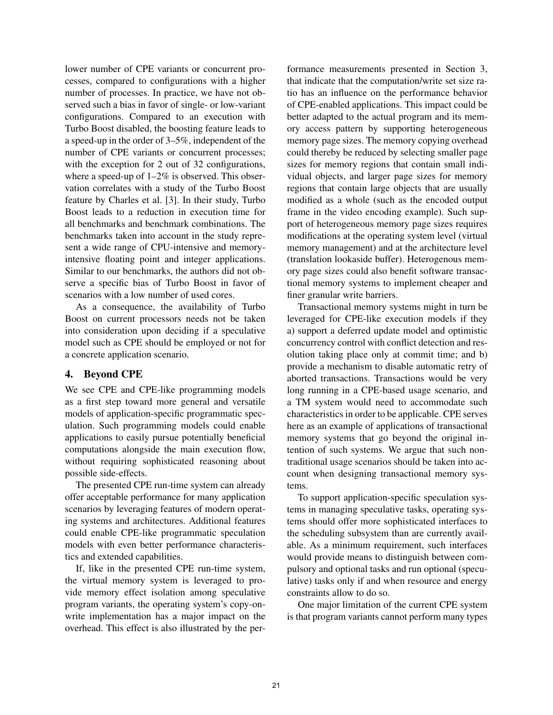lower number of CPE variants or concurrent processes, compared to configurations with a higher number of processes. In practice, we have not observed such a bias in favor of single- or low-variant configurations. Compared to an execution with Turbo Boost disabled, the boosting feature leads to a speed-up in the order of 3–5%, independent of the number of CPE variants or concurrent processes; with the exception for 2 out of 32 configurations, where a speed-up of  $1-2\%$  is observed. This observation correlates with a study of the Turbo Boost feature by Charles et al. [3]. In their study, Turbo Boost leads to a reduction in execution time for all benchmarks and benchmark combinations. The benchmarks taken into account in the study represent a wide range of CPU-intensive and memoryintensive floating point and integer applications. Similar to our benchmarks, the authors did not observe a specific bias of Turbo Boost in favor of scenarios with a low number of used cores.

As a consequence, the availability of Turbo Boost on current processors needs not be taken into consideration upon deciding if a speculative model such as CPE should be employed or not for a concrete application scenario.

# 4. Beyond CPE

We see CPE and CPE-like programming models as a first step toward more general and versatile models of application-specific programmatic speculation. Such programming models could enable applications to easily pursue potentially beneficial computations alongside the main execution flow, without requiring sophisticated reasoning about possible side-effects.

The presented CPE run-time system can already offer acceptable performance for many application scenarios by leveraging features of modern operating systems and architectures. Additional features could enable CPE-like programmatic speculation models with even better performance characteristics and extended capabilities.

If, like in the presented CPE run-time system, the virtual memory system is leveraged to provide memory effect isolation among speculative program variants, the operating system's copy-onwrite implementation has a major impact on the overhead. This effect is also illustrated by the per-

formance measurements presented in Section 3, that indicate that the computation/write set size ratio has an influence on the performance behavior of CPE-enabled applications. This impact could be better adapted to the actual program and its memory access pattern by supporting heterogeneous memory page sizes. The memory copying overhead could thereby be reduced by selecting smaller page sizes for memory regions that contain small individual objects, and larger page sizes for memory regions that contain large objects that are usually modified as a whole (such as the encoded output frame in the video encoding example). Such support of heterogeneous memory page sizes requires modifications at the operating system level (virtual memory management) and at the architecture level (translation lookaside buffer). Heterogenous memory page sizes could also benefit software transactional memory systems to implement cheaper and finer granular write barriers.

Transactional memory systems might in turn be leveraged for CPE-like execution models if they a) support a deferred update model and optimistic concurrency control with conflict detection and resolution taking place only at commit time; and b) provide a mechanism to disable automatic retry of aborted transactions. Transactions would be very long running in a CPE-based usage scenario, and a TM system would need to accommodate such characteristics in order to be applicable. CPE serves here as an example of applications of transactional memory systems that go beyond the original intention of such systems. We argue that such nontraditional usage scenarios should be taken into account when designing transactional memory systems.

To support application-specific speculation systems in managing speculative tasks, operating systems should offer more sophisticated interfaces to the scheduling subsystem than are currently available. As a minimum requirement, such interfaces would provide means to distinguish between compulsory and optional tasks and run optional (speculative) tasks only if and when resource and energy constraints allow to do so.

One major limitation of the current CPE system is that program variants cannot perform many types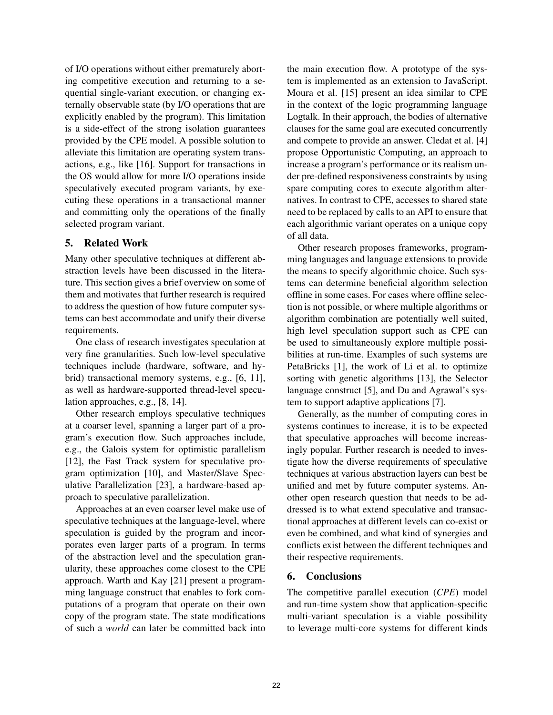of I/O operations without either prematurely aborting competitive execution and returning to a sequential single-variant execution, or changing externally observable state (by I/O operations that are explicitly enabled by the program). This limitation is a side-effect of the strong isolation guarantees provided by the CPE model. A possible solution to alleviate this limitation are operating system transactions, e.g., like [16]. Support for transactions in the OS would allow for more I/O operations inside speculatively executed program variants, by executing these operations in a transactional manner and committing only the operations of the finally selected program variant.

# 5. Related Work

Many other speculative techniques at different abstraction levels have been discussed in the literature. This section gives a brief overview on some of them and motivates that further research is required to address the question of how future computer systems can best accommodate and unify their diverse requirements.

One class of research investigates speculation at very fine granularities. Such low-level speculative techniques include (hardware, software, and hybrid) transactional memory systems, e.g., [6, 11], as well as hardware-supported thread-level speculation approaches, e.g., [8, 14].

Other research employs speculative techniques at a coarser level, spanning a larger part of a program's execution flow. Such approaches include, e.g., the Galois system for optimistic parallelism [12], the Fast Track system for speculative program optimization [10], and Master/Slave Speculative Parallelization [23], a hardware-based approach to speculative parallelization.

Approaches at an even coarser level make use of speculative techniques at the language-level, where speculation is guided by the program and incorporates even larger parts of a program. In terms of the abstraction level and the speculation granularity, these approaches come closest to the CPE approach. Warth and Kay [21] present a programming language construct that enables to fork computations of a program that operate on their own copy of the program state. The state modifications of such a *world* can later be committed back into

the main execution flow. A prototype of the system is implemented as an extension to JavaScript. Moura et al. [15] present an idea similar to CPE in the context of the logic programming language Logtalk. In their approach, the bodies of alternative clauses for the same goal are executed concurrently and compete to provide an answer. Cledat et al. [4] propose Opportunistic Computing, an approach to increase a program's performance or its realism under pre-defined responsiveness constraints by using spare computing cores to execute algorithm alternatives. In contrast to CPE, accesses to shared state need to be replaced by calls to an API to ensure that each algorithmic variant operates on a unique copy of all data.

Other research proposes frameworks, programming languages and language extensions to provide the means to specify algorithmic choice. Such systems can determine beneficial algorithm selection offline in some cases. For cases where offline selection is not possible, or where multiple algorithms or algorithm combination are potentially well suited, high level speculation support such as CPE can be used to simultaneously explore multiple possibilities at run-time. Examples of such systems are PetaBricks [1], the work of Li et al. to optimize sorting with genetic algorithms [13], the Selector language construct [5], and Du and Agrawal's system to support adaptive applications [7].

Generally, as the number of computing cores in systems continues to increase, it is to be expected that speculative approaches will become increasingly popular. Further research is needed to investigate how the diverse requirements of speculative techniques at various abstraction layers can best be unified and met by future computer systems. Another open research question that needs to be addressed is to what extend speculative and transactional approaches at different levels can co-exist or even be combined, and what kind of synergies and conflicts exist between the different techniques and their respective requirements.

# 6. Conclusions

The competitive parallel execution (*CPE*) model and run-time system show that application-specific multi-variant speculation is a viable possibility to leverage multi-core systems for different kinds